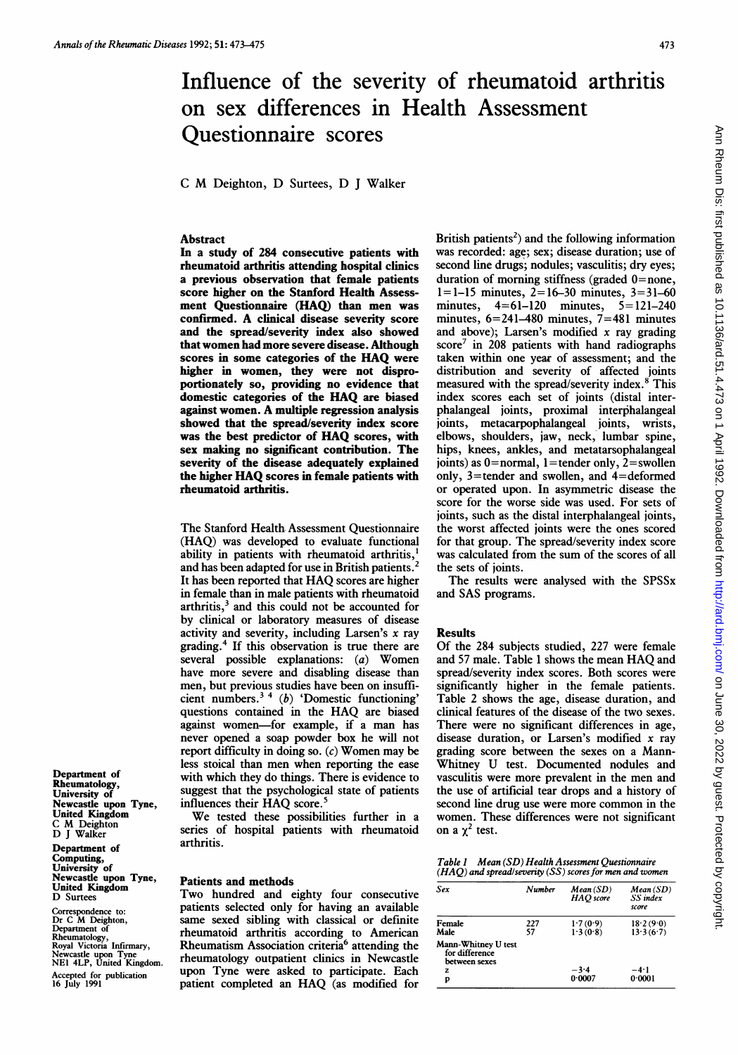# Influence of the severity of rheumatoid arthritis on sex differences in Health Assessment Questionnaire scores

<sup>C</sup> M Deighton, D Surtees, D <sup>J</sup> Walker

## Abstract

In a study of 284 consecutive patients with rheumatoid arthritis attending hospital clinics a previous observation that female patients score higher on the Stanford Health Assessment Questionnaire (HAQ) than men was confirmed. A clinical disease severity score and the spread/severity index also showed that women had more severe disease. Although scores in some categories of the HAQ were higher in women, they were not disproportionately so, providing no evidence that domestic categories of the HAQ are biased against women. A multiple regression analysis showed that the spread/severity index score was the best predictor of HAQ scores, with sex making no significant contribution. The severity of the disease adequately explained the higher HAQ scores in female patients with rheumatoid arthritis.

The Stanford Health Assessment Questionnaire (HAQ) was developed to evaluate functional ability in patients with rheumatoid arthritis,<sup>1</sup> and has been adapted for use in British patients.<sup>2</sup> It has been reported that HAQ scores are higher in female than in male patients with rheumatoid arthritis, $3$  and this could not be accounted for by clinical or laboratory measures of disease activity and severity, including Larsen's  $x$  ray grading.4 If this observation is true there are several possible explanations: (a) Women have more severe and disabling disease than men, but previous studies have been on insufficient numbers.3 <sup>4</sup> (b) 'Domestic functioning' questions contained in the HAQ are biased against women-for example, if <sup>a</sup> man has never opened a soap powder box he will not report difficulty in doing so.  $(c)$  Women may be less stoical than men when reporting the ease with which they do things. There is evidence to suggest that the psychological state of patients influences their HAQ score.<sup>5</sup>

We tested these possibilities further in <sup>a</sup> series of hospital patients with rheumatoid arthritis.

#### Patients and methods

Two hundred and eighty four consecutive patients selected only for having an available same sexed sibling with classical or definite rheumatoid arthritis according to American Rheumatism Association criteria<sup>6</sup> attending the rheumatology outpatient clinics in Newcastle upon Tyne were asked to participate. Each patient completed an HAQ (as modified for British patients<sup>2</sup>) and the following information was recorded: age; sex; disease duration; use of second line drugs; nodules; vasculitis; dry eyes; duration of morning stiffness (graded  $0$ =none,  $1 = 1 - 15$  minutes,  $2 = 16 - 30$  minutes,  $3 = 31 - 60$ minutes, 4=61-120 minutes, 5= 121-240 minutes, 6=241-480 minutes, 7=481 minutes and above); Larsen's modified  $x$  ray grading score<sup>7</sup> in 208 patients with hand radiographs taken within one year of assessment; and the distribution and severity of affected joints measured with the spread/severity index.<sup>8</sup> This index scores each set of joints (distal interphalangeal joints, proximal interphalangeal joints, metacarpophalangeal joints, wrists, elbows, shoulders, jaw, neck, lumbar spine, hips, knees, ankles, and metatarsophalangeal joints) as  $0=$ normal, 1 = tender only, 2 = swollen only, 3=tender and swollen, and 4=deformed or operated upon. In asymmetric disease the score for the worse side was used. For sets of joints, such as the distal interphalangeal joints, the worst affected joints were the ones scored for that group. The spread/severity index score was calculated from the sum of the scores of all the sets of joints.

The results were analysed with the SPSSx and SAS programs.

#### Results

Of the 284 subjects studied, 227 were female and <sup>57</sup> male. Table <sup>1</sup> shows the mean HAQ and spread/severity index scores. Both scores were significantly higher in the female patients. Table 2 shows the age, disease duration, and clinical features of the disease of the two sexes. There were no significant differences in age, disease duration, or Larsen's modified  $x$  ray grading score between the sexes on a Mann-Whitney U test. Documented nodules and vasculitis were more prevalent in the men and the use of artificial tear drops and a history of second line drug use were more common in the women. These differences were not significant on a  $\chi^2$  test.

| Table 1 | Mean (SD) Health Assessment Questionnaire               |
|---------|---------------------------------------------------------|
|         | (HAQ) and spread/severity (SS) scores for men and women |

| Sex                                                              | Number    | Mean(SD)<br>HAO score | Mean(SD)<br>SS index<br>score |
|------------------------------------------------------------------|-----------|-----------------------|-------------------------------|
| Female<br>Male                                                   | 227<br>57 | 1.7(0.9)<br>1.3(0.8)  | 18.2(9.0)<br>13.3(6.7)        |
| Mann-Whitney U test<br>for difference<br>between sexes<br>Z<br>p |           | $-3.4$<br>0.0007      | $-4.1$<br>0.0001              |

Department of Rheumatology, University of Newcastle upon Tyne, United Kingdom C M Deighton D <sup>J</sup> Walker

Department of Computing, University of Newcastle upon Tyne, United Kingdom D Surtees

Correspondence to: Dr C M Deighton, Department of Rheumatology, Royal Victoria Infirmary, Newcastle upon Tyne NEI 4LP, United Kingdom. Accepted for publication 16 July 1991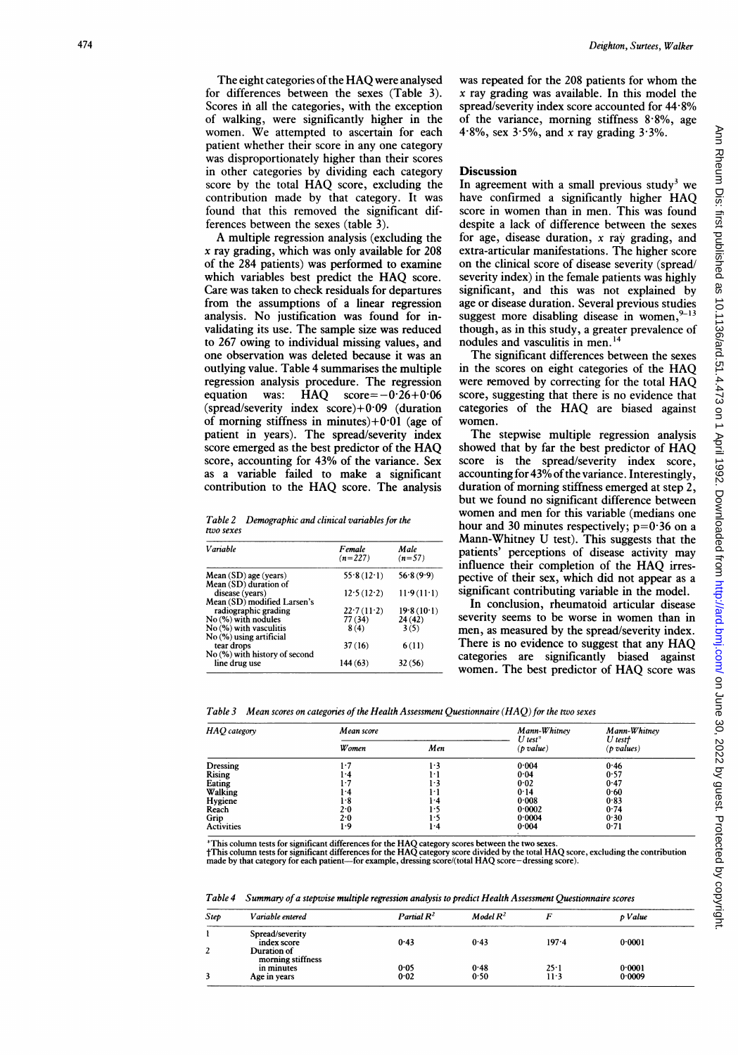The eight categories of the HAQ were analysed for differences between the sexes (Table 3). Scores in all the categories, with the exception of walking, were significantly higher in the women. We attempted to ascertain for each patient whether their score in any one category was disproportionately higher than their scores in other categories by dividing each category score by the total HAQ score, excluding the contribution made by that category. It was found that this removed the significant differences between the sexes (table 3).

A multiple regression analysis (excluding the x ray grading, which was only available for 208 of the 284 patients) was performed to examine which variables best predict the HAQ score. Care was taken to check residuals for departures from the assumptions of a linear regression analysis. No justification was found for invalidating its use. The sample size was reduced to 267 owing to individual missing values, and one observation was deleted because it was an outlying value. Table 4 summarises the multiple regression analysis procedure. The regression equation was: HAQ  $score=-0.26+0.06$ (spread/severity index score)+0 09 (duration of morning stiffness in minutes) $+0.01$  (age of patient in years). The spread/severity index score emerged as the best predictor of the HAQ score, accounting for 43% of the variance. Sex as a variable failed to make a significant contribution to the HAQ score. The analysis

Table 2 Demographic and clinical variables for the two sexes

| Variable                                                             | Female<br>$(n=227)$   | Male<br>$(n=57)$     |
|----------------------------------------------------------------------|-----------------------|----------------------|
| $Mean(SD)$ age (years)<br>Mean (SD) duration of                      | 55.8(12.1)            | 56.8(9.9)            |
| disease (vears)                                                      | 12.5(12.2)            | 11.9(11.1)           |
| Mean (SD) modified Larsen's                                          |                       |                      |
| radiographic grading<br>$No$ $\left(\frac{9}{6}\right)$ with nodules | 22.7(11.2)<br>77 (34) | 19.8(10.1)<br>24(42) |
|                                                                      |                       |                      |
| No (%) with vasculitis<br>No (%) using artificial                    | 8(4)                  | 3(5)                 |
| tear drops                                                           | 37(16)                | 6(11)                |
| No (%) with history of second<br>line drug use                       | 144(63)               | 32(56)               |

was repeated for the 208 patients for whom the x ray grading was available. In this model the spread/severity index score accounted for 44-8% of the variance, morning stiffness  $8.8\%$ , age 4.8%, sex  $3.5\%$ , and x ray grading  $3.3\%$ .

## **Discussion**

In agreement with a small previous study<sup>3</sup> we have confirmed <sup>a</sup> significantly higher HAQ score in women than in men. This was found despite a lack of difference between the sexes for age, disease duration, x ray grading, and extra-articular manifestations. The higher score on the clinical score of disease severity (spread/ severity index) in the female patients was highly significant, and this was not explained by age or disease duration. Several previous studies suggest more disabling disease in women,<sup>9</sup> though, as in this study, a greater prevalence of nodules and vasculitis in men.'4

The significant differences between the sexes in the scores on eight categories of the HAQ were removed by correcting for the total HAQ score, suggesting that there is no evidence that categories of the HAQ are biased against women.

The stepwise multiple regression analysis showed that by far the best predictor of HAQ score is the spread/severity index score, accounting for  $43\%$  of the variance. Interestingly, duration of morning stiffness emerged at step 2, but we found no significant difference between women and men for this variable (medians one hour and 30 minutes respectively;  $p=0.36$  on a Mann-Whitney U test). This suggests that the patients' perceptions of disease activity may influence their completion of the HAQ irrespective of their sex, which did not appear as a significant contributing variable in the model.

In conclusion, rheumatoid articular disease severity seems to be worse in women than in men, as measured by the spread/severity index. There is no evidence to suggest that any HAQ categories are significantly biased against women. The best predictor of HAQ score was

|  |  |  | Table 3 $\;$ Mean scores on categories of the Health Assessment Questionnaire (HAQ) for the two sexes |
|--|--|--|-------------------------------------------------------------------------------------------------------|
|--|--|--|-------------------------------------------------------------------------------------------------------|

| HAO category      | Mean score    |      | Mann-Whitney<br>$U$ test <sup><math>*</math></sup> | Mann-Whitney<br>U test† |
|-------------------|---------------|------|----------------------------------------------------|-------------------------|
|                   | <b>W</b> omen | Men  | (p value)                                          | $(p$ values)            |
| <b>Dressing</b>   | 1.7           | l·3  | 0.004                                              | 0.46                    |
| <b>Rising</b>     | ŀ4            | ŀ١   | 0.04                                               | 0.57                    |
| Eating            | 1.7           | 1.3  | 0.02                                               | 0.47                    |
| Walking           | ŀ4            | ŀ١   | 0.14                                               | 0.60                    |
| Hygiene           | 1.8           | ŀ4   | 0.008                                              | 0.83                    |
| Reach             | 2.0           | ŀ5   | 0.0002                                             | 0.74                    |
| Grip              | 2.0           | l .5 | 0.0004                                             | 0.30                    |
| <b>Activities</b> | 1.9           | ŀ4   | 0.004                                              | 0.71                    |

\*This column tests for significant differences for the HAQ category scores between the two sexes.<br>†This column tests for significant differences for the HAQ category score divided by the total HAQ score, excluding the cont made by that category for each patient-for example, dressing score/(total HAQ score-dressing score).

Table 4 Summary of a stepwise multiple regression analysis to predict Health Assessment Questionnaire scores

| Step | Variable entered                 | Partial $R^2$ | Model $R^2$ |        | p Value |  |
|------|----------------------------------|---------------|-------------|--------|---------|--|
|      | Spread/severity<br>index score   | 0.43          | 0.43        | 197.4  | 0.0001  |  |
| 2    | Duration of<br>morning stiffness |               |             |        |         |  |
|      | in minutes                       | 0.05          | 0.48        | 25.1   | 0.0001  |  |
|      | Age in years                     | 0.02          | 0.50        | $11-3$ | 0.0009  |  |